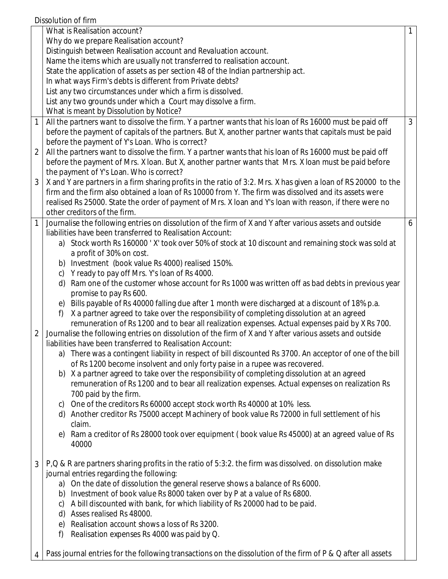|                                                                                                 | What is Realisation account?                                                                                                                                                                                                                                                                                                                                                                            | 1              |  |  |  |
|-------------------------------------------------------------------------------------------------|---------------------------------------------------------------------------------------------------------------------------------------------------------------------------------------------------------------------------------------------------------------------------------------------------------------------------------------------------------------------------------------------------------|----------------|--|--|--|
|                                                                                                 | Why do we prepare Realisation account?                                                                                                                                                                                                                                                                                                                                                                  |                |  |  |  |
|                                                                                                 | Distinguish between Realisation account and Revaluation account.                                                                                                                                                                                                                                                                                                                                        |                |  |  |  |
|                                                                                                 | Name the items which are usually not transferred to realisation account.                                                                                                                                                                                                                                                                                                                                |                |  |  |  |
|                                                                                                 | State the application of assets as per section 48 of the Indian partnership act.                                                                                                                                                                                                                                                                                                                        |                |  |  |  |
|                                                                                                 | In what ways Firm's debts is different from Private debts?                                                                                                                                                                                                                                                                                                                                              |                |  |  |  |
|                                                                                                 | List any two circumstances under which a firm is dissolved.                                                                                                                                                                                                                                                                                                                                             |                |  |  |  |
|                                                                                                 | List any two grounds under which a Court may dissolve a firm.                                                                                                                                                                                                                                                                                                                                           |                |  |  |  |
|                                                                                                 | What is meant by Dissolution by Notice?                                                                                                                                                                                                                                                                                                                                                                 |                |  |  |  |
|                                                                                                 | $\mathbf{1}$<br>All the partners want to dissolve the firm. Y a partner wants that his loan of Rs 16000 must be paid off<br>before the payment of capitals of the partners. But X, another partner wants that capitals must be paid<br>before the payment of Y's Loan. Who is correct?<br>All the partners want to dissolve the firm. Y a partner wants that his loan of Rs 16000 must be paid off<br>2 | $\overline{3}$ |  |  |  |
|                                                                                                 | before the payment of Mrs. X loan. But X, another partner wants that Mrs. X loan must be paid before<br>the payment of Y's Loan. Who is correct?                                                                                                                                                                                                                                                        |                |  |  |  |
|                                                                                                 | $\mathfrak{Z}$<br>X and Y are partners in a firm sharing profits in the ratio of 3:2. Mrs. X has given a loan of RS 20000 to the                                                                                                                                                                                                                                                                        |                |  |  |  |
|                                                                                                 | firm and the firm also obtained a loan of Rs 10000 from Y. The firm was dissolved and its assets were                                                                                                                                                                                                                                                                                                   |                |  |  |  |
|                                                                                                 | realised Rs 25000. State the order of payment of Mrs. X loan and Y's loan with reason, if there were no                                                                                                                                                                                                                                                                                                 |                |  |  |  |
|                                                                                                 | other creditors of the firm.                                                                                                                                                                                                                                                                                                                                                                            |                |  |  |  |
|                                                                                                 | Journalise the following entries on dissolution of the firm of X and Y after various assets and outside                                                                                                                                                                                                                                                                                                 | 6              |  |  |  |
|                                                                                                 | liabilities have been transferred to Realisation Account:                                                                                                                                                                                                                                                                                                                                               |                |  |  |  |
|                                                                                                 | a) Stock worth Rs 160000 'X' took over 50% of stock at 10 discount and remaining stock was sold at                                                                                                                                                                                                                                                                                                      |                |  |  |  |
|                                                                                                 | a profit of 30% on cost.                                                                                                                                                                                                                                                                                                                                                                                |                |  |  |  |
|                                                                                                 | b) Investment (book value Rs 4000) realised 150%.                                                                                                                                                                                                                                                                                                                                                       |                |  |  |  |
|                                                                                                 | Y ready to pay off Mrs. Y's loan of Rs 4000.<br>C)                                                                                                                                                                                                                                                                                                                                                      |                |  |  |  |
|                                                                                                 | Ram one of the customer whose account for Rs 1000 was written off as bad debts in previous year<br>d)                                                                                                                                                                                                                                                                                                   |                |  |  |  |
|                                                                                                 | promise to pay Rs 600.                                                                                                                                                                                                                                                                                                                                                                                  |                |  |  |  |
|                                                                                                 | e) Bills payable of Rs 40000 falling due after 1 month were discharged at a discount of 18% p.a.                                                                                                                                                                                                                                                                                                        |                |  |  |  |
|                                                                                                 | X a partner agreed to take over the responsibility of completing dissolution at an agreed<br>f)                                                                                                                                                                                                                                                                                                         |                |  |  |  |
|                                                                                                 | remuneration of Rs 1200 and to bear all realization expenses. Actual expenses paid by X Rs 700.                                                                                                                                                                                                                                                                                                         |                |  |  |  |
|                                                                                                 | Journalise the following entries on dissolution of the firm of X and Y after various assets and outside<br>2                                                                                                                                                                                                                                                                                            |                |  |  |  |
|                                                                                                 | liabilities have been transferred to Realisation Account:                                                                                                                                                                                                                                                                                                                                               |                |  |  |  |
|                                                                                                 | a) There was a contingent liability in respect of bill discounted Rs 3700. An acceptor of one of the bill                                                                                                                                                                                                                                                                                               |                |  |  |  |
|                                                                                                 | of Rs 1200 become insolvent and only forty paise in a rupee was recovered.                                                                                                                                                                                                                                                                                                                              |                |  |  |  |
| X a partner agreed to take over the responsibility of completing dissolution at an agreed<br>b) |                                                                                                                                                                                                                                                                                                                                                                                                         |                |  |  |  |
|                                                                                                 | remuneration of Rs 1200 and to bear all realization expenses. Actual expenses on realization Rs                                                                                                                                                                                                                                                                                                         |                |  |  |  |
|                                                                                                 | 700 paid by the firm.<br>One of the creditors Rs 60000 accept stock worth Rs 40000 at 10% less.                                                                                                                                                                                                                                                                                                         |                |  |  |  |
|                                                                                                 | C)<br>Another creditor Rs 75000 accept Machinery of book value Rs 72000 in full settlement of his<br>d)                                                                                                                                                                                                                                                                                                 |                |  |  |  |
|                                                                                                 | claim.                                                                                                                                                                                                                                                                                                                                                                                                  |                |  |  |  |
|                                                                                                 | Ram a creditor of Rs 28000 took over equipment (book value Rs 45000) at an agreed value of Rs<br>e)                                                                                                                                                                                                                                                                                                     |                |  |  |  |
|                                                                                                 | 40000                                                                                                                                                                                                                                                                                                                                                                                                   |                |  |  |  |
|                                                                                                 | P, Q & R are partners sharing profits in the ratio of 5:3:2. the firm was dissolved. on dissolution make<br>3                                                                                                                                                                                                                                                                                           |                |  |  |  |
|                                                                                                 | journal entries regarding the following:                                                                                                                                                                                                                                                                                                                                                                |                |  |  |  |
|                                                                                                 | a) On the date of dissolution the general reserve shows a balance of Rs 6000.                                                                                                                                                                                                                                                                                                                           |                |  |  |  |
|                                                                                                 | b) Investment of book value Rs 8000 taken over by P at a value of Rs 6800.                                                                                                                                                                                                                                                                                                                              |                |  |  |  |
|                                                                                                 | A bill discounted with bank, for which liability of Rs 20000 had to be paid.<br>C)                                                                                                                                                                                                                                                                                                                      |                |  |  |  |
|                                                                                                 | Asses realised Rs 48000.<br>d)                                                                                                                                                                                                                                                                                                                                                                          |                |  |  |  |
|                                                                                                 | e) Realisation account shows a loss of Rs 3200.                                                                                                                                                                                                                                                                                                                                                         |                |  |  |  |
|                                                                                                 | Realisation expenses Rs 4000 was paid by Q.<br>f)                                                                                                                                                                                                                                                                                                                                                       |                |  |  |  |
|                                                                                                 | Pass journal entries for the following transactions on the dissolution of the firm of P & Q after all assets                                                                                                                                                                                                                                                                                            |                |  |  |  |
|                                                                                                 |                                                                                                                                                                                                                                                                                                                                                                                                         |                |  |  |  |

Dissolution of firm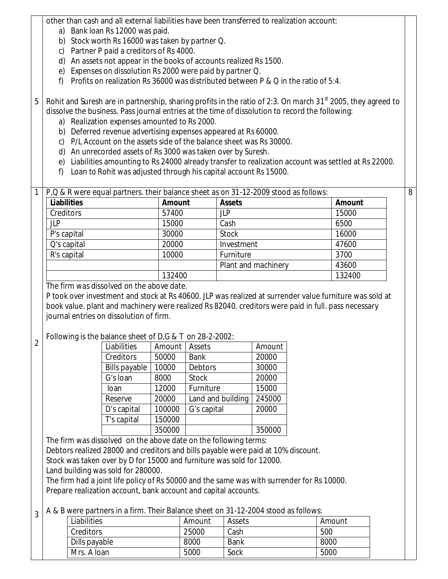other than cash and all external liabilities have been transferred to realization account:

- a) Bank loan Rs 12000 was paid.
- b) Stock worth Rs 16000 was taken by partner Q.
- c) Partner P paid a creditors of Rs 4000.
- d) An assets not appear in the books of accounts realized Rs 1500.
- e) Expenses on dissolution Rs 2000 were paid by partner Q.
- f) Profits on realization Rs 36000 was distributed between P & Q in the ratio of 5:4.

5 Rohit and Suresh are in partnership, sharing profits in the ratio of 2:3. On march  $31<sup>st</sup>$  2005, they agreed to dissolve the business. Pass journal entries at the time of dissolution to record the following:

- a) Realization expenses amounted to Rs 2000.
- b) Deferred revenue advertising expenses appeared at Rs 60000.
- c) P/L Account on the assets side of the balance sheet was Rs 30000.
- d) An unrecorded assets of Rs 3000 was taken over by Suresh.
- e) Liabilities amounting to Rs 24000 already transfer to realization account was settled at Rs 22000.

8

f) Loan to Rohit was adjusted through his capital account Rs 15000.

|                    |               | P, Q & R were equal partners. their balance sheet as on 31-12-2009 stood as follows: |               |
|--------------------|---------------|--------------------------------------------------------------------------------------|---------------|
| <b>Liabilities</b> | <b>Amount</b> | <b>Assets</b>                                                                        | <b>Amount</b> |
| Creditors          | 57400         | <b>JLP</b>                                                                           | 15000         |
| <b>JLP</b>         | 15000         | Cash                                                                                 | 6500          |
| P's capital        | 30000         | <b>Stock</b>                                                                         | 16000         |
| Q's capital        | 20000         | Investment                                                                           | 47600         |
| R's capital        | 10000         | Furniture                                                                            | 3700          |
|                    |               | Plant and machinery                                                                  | 43600         |
|                    | 132400        |                                                                                      | 132400        |

The firm was dissolved on the above date.

1

 $\overline{\mathfrak{2}}$ 

P took over investment and stock at Rs 40600. JLP was realized at surrender value furniture was sold at book value. plant and machinery were realized Rs 82040. creditors were paid in full. pass necessary journal entries on dissolution of firm.

Following is the balance sheet of D,G & T on 28-2-2002:

| Liabilities          | Amount | Assets            | Amount |
|----------------------|--------|-------------------|--------|
| Creditors            | 50000  | <b>Bank</b>       | 20000  |
| <b>Bills payable</b> | 10000  | <b>Debtors</b>    | 30000  |
| G's loan             | 8000   | <b>Stock</b>      | 20000  |
| loan                 | 12000  | Furniture         | 15000  |
| Reserve              | 20000  | Land and building | 245000 |
| D's capital          | 100000 | G's capital       | 20000  |
| T's capital          | 150000 |                   |        |
|                      | 350000 |                   | 350000 |

The firm was dissolved on the above date on the following terms: Debtors realized 28000 and creditors and bills payable were paid at 10% discount. Stock was taken over by D for 15000 and furniture was sold for 12000. Land building was sold for 280000.

The firm had a joint life policy of Rs 50000 and the same was with surrender for Rs 10000. Prepare realization account, bank account and capital accounts.

3 A & B were partners in a firm. Their Balance sheet on 31-12-2004 stood as follows:

| Liabilities   | Amount | Assets | Amount |
|---------------|--------|--------|--------|
| Creditors     | 25000  | Cash   | 500    |
| Dills payable | 8000   | Bank   | 8000   |
| Mrs. A loan   | 5000   | Sock   | 5000   |